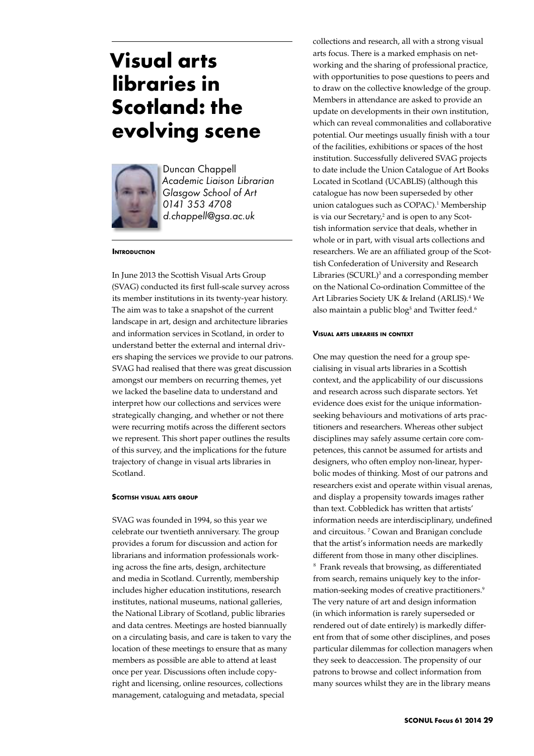# **Visual arts libraries in Scotland: the evolving scene**



Duncan Chappell *Academic Liaison Librarian Glasgow School of Art 0141 353 4708 d.chappell@gsa.ac.uk*

#### **INTRODUCTION**

In June 2013 the Scottish Visual Arts Group (SVAG) conducted its first full-scale survey across its member institutions in its twenty-year history. The aim was to take a snapshot of the current landscape in art, design and architecture libraries and information services in Scotland, in order to understand better the external and internal drivers shaping the services we provide to our patrons. SVAG had realised that there was great discussion amongst our members on recurring themes, yet we lacked the baseline data to understand and interpret how our collections and services were strategically changing, and whether or not there were recurring motifs across the different sectors we represent. This short paper outlines the results of this survey, and the implications for the future trajectory of change in visual arts libraries in Scotland.

#### **Scottish visual arts group**

SVAG was founded in 1994, so this year we celebrate our twentieth anniversary. The group provides a forum for discussion and action for librarians and information professionals working across the fine arts, design, architecture and media in Scotland. Currently, membership includes higher education institutions, research institutes, national museums, national galleries, the National Library of Scotland, public libraries and data centres. Meetings are hosted biannually on a circulating basis, and care is taken to vary the location of these meetings to ensure that as many members as possible are able to attend at least once per year. Discussions often include copyright and licensing, online resources, collections management, cataloguing and metadata, special

collections and research, all with a strong visual arts focus. There is a marked emphasis on networking and the sharing of professional practice, with opportunities to pose questions to peers and to draw on the collective knowledge of the group. Members in attendance are asked to provide an update on developments in their own institution, which can reveal commonalities and collaborative potential. Our meetings usually finish with a tour of the facilities, exhibitions or spaces of the host institution. Successfully delivered SVAG projects to date include the Union Catalogue of Art Books Located in Scotland (UCABLIS) (although this catalogue has now been superseded by other union catalogues such as COPAC).<sup>1</sup> Membership is via our Secretary,<sup>2</sup> and is open to any Scottish information service that deals, whether in whole or in part, with visual arts collections and researchers. We are an affiliated group of the Scottish Confederation of University and Research Libraries (SCURL)<sup>3</sup> and a corresponding member on the National Co-ordination Committee of the Art Libraries Society UK & Ireland (ARLIS).<sup>4</sup> We also maintain a public blog<sup>5</sup> and Twitter feed.<sup>6</sup>

#### **Visual arts libraries in context**

One may question the need for a group specialising in visual arts libraries in a Scottish context, and the applicability of our discussions and research across such disparate sectors. Yet evidence does exist for the unique informationseeking behaviours and motivations of arts practitioners and researchers. Whereas other subject disciplines may safely assume certain core competences, this cannot be assumed for artists and designers, who often employ non-linear, hyperbolic modes of thinking. Most of our patrons and researchers exist and operate within visual arenas, and display a propensity towards images rather than text. Cobbledick has written that artists' information needs are interdisciplinary, undefined and circuitous. 7 Cowan and Branigan conclude that the artist's information needs are markedly different from those in many other disciplines. 8 Frank reveals that browsing, as differentiated

from search, remains uniquely key to the information-seeking modes of creative practitioners.<sup>9</sup> The very nature of art and design information (in which information is rarely superseded or rendered out of date entirely) is markedly different from that of some other disciplines, and poses particular dilemmas for collection managers when they seek to deaccession. The propensity of our patrons to browse and collect information from many sources whilst they are in the library means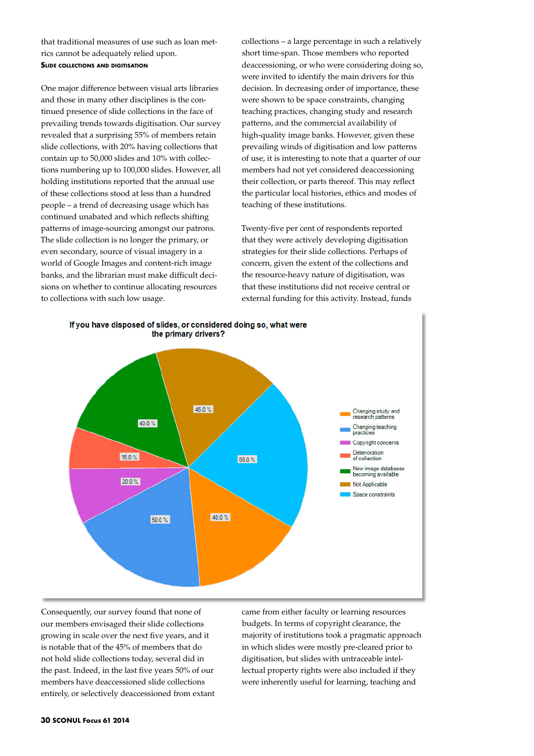that traditional measures of use such as loan metrics cannot be adequately relied upon. **Slide collections and digitisation**

One major difference between visual arts libraries and those in many other disciplines is the continued presence of slide collections in the face of prevailing trends towards digitisation. Our survey revealed that a surprising 55% of members retain slide collections, with 20% having collections that contain up to 50,000 slides and 10% with collections numbering up to 100,000 slides. However, all holding institutions reported that the annual use of these collections stood at less than a hundred people – a trend of decreasing usage which has continued unabated and which reflects shifting patterns of image-sourcing amongst our patrons. The slide collection is no longer the primary, or even secondary, source of visual imagery in a world of Google Images and content-rich image banks, and the librarian must make difficult decisions on whether to continue allocating resources to collections with such low usage.

collections – a large percentage in such a relatively short time-span. Those members who reported deaccessioning, or who were considering doing so, were invited to identify the main drivers for this decision. In decreasing order of importance, these were shown to be space constraints, changing teaching practices, changing study and research patterns, and the commercial availability of high-quality image banks. However, given these prevailing winds of digitisation and low patterns of use, it is interesting to note that a quarter of our members had not yet considered deaccessioning their collection, or parts thereof. This may reflect the particular local histories, ethics and modes of teaching of these institutions.

Twenty-five per cent of respondents reported that they were actively developing digitisation strategies for their slide collections. Perhaps of concern, given the extent of the collections and the resource-heavy nature of digitisation, was that these institutions did not receive central or external funding for this activity. Instead, funds



If you have disposed of slides, or considered doing so, what were

Consequently, our survey found that none of our members envisaged their slide collections growing in scale over the next five years, and it is notable that of the 45% of members that do not hold slide collections today, several did in the past. Indeed, in the last five years 50% of our members have deaccessioned slide collections entirely, or selectively deaccessioned from extant

came from either faculty or learning resources budgets. In terms of copyright clearance, the majority of institutions took a pragmatic approach in which slides were mostly pre-cleared prior to digitisation, but slides with untraceable intellectual property rights were also included if they were inherently useful for learning, teaching and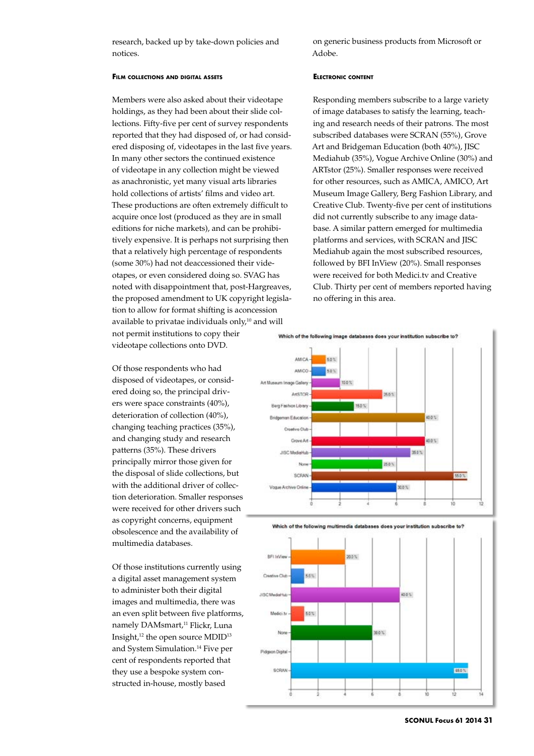research, backed up by take-down policies and notices.

on generic business products from Microsoft or Adobe.

## **Film collections and digital assets**

Members were also asked about their videotape holdings, as they had been about their slide collections. Fifty-five per cent of survey respondents reported that they had disposed of, or had considered disposing of, videotapes in the last five years. In many other sectors the continued existence of videotape in any collection might be viewed as anachronistic, yet many visual arts libraries hold collections of artists' films and video art. These productions are often extremely difficult to acquire once lost (produced as they are in small editions for niche markets), and can be prohibitively expensive. It is perhaps not surprising then that a relatively high percentage of respondents (some 30%) had not deaccessioned their videotapes, or even considered doing so. SVAG has noted with disappointment that, post-Hargreaves, the proposed amendment to UK copyright legislation to allow for format shifting is aconcession available to privatae individuals only, $10$  and will not permit institutions to copy their videotape collections onto DVD.

Of those respondents who had disposed of videotapes, or considered doing so, the principal drivers were space constraints (40%), deterioration of collection (40%), changing teaching practices (35%), and changing study and research patterns (35%). These drivers principally mirror those given for the disposal of slide collections, but with the additional driver of collection deterioration. Smaller responses were received for other drivers such as copyright concerns, equipment obsolescence and the availability of multimedia databases.

Of those institutions currently using a digital asset management system to administer both their digital images and multimedia, there was an even split between five platforms, namely DAMsmart,<sup>11</sup> Flickr, Luna Insight,12 the open source MDID13 and System Simulation.14 Five per cent of respondents reported that they use a bespoke system constructed in-house, mostly based

## **Electronic content**

Responding members subscribe to a large variety of image databases to satisfy the learning, teaching and research needs of their patrons. The most subscribed databases were SCRAN (55%), Grove Art and Bridgeman Education (both 40%), JISC Mediahub (35%), Vogue Archive Online (30%) and ARTstor (25%). Smaller responses were received for other resources, such as AMICA, AMICO, Art Museum Image Gallery, Berg Fashion Library, and Creative Club. Twenty-five per cent of institutions did not currently subscribe to any image database. A similar pattern emerged for multimedia platforms and services, with SCRAN and JISC Mediahub again the most subscribed resources, followed by BFI InView (20%). Small responses were received for both Medici.tv and Creative Club. Thirty per cent of members reported having no offering in this area.







**SCONUL Focus 61 2014 31**